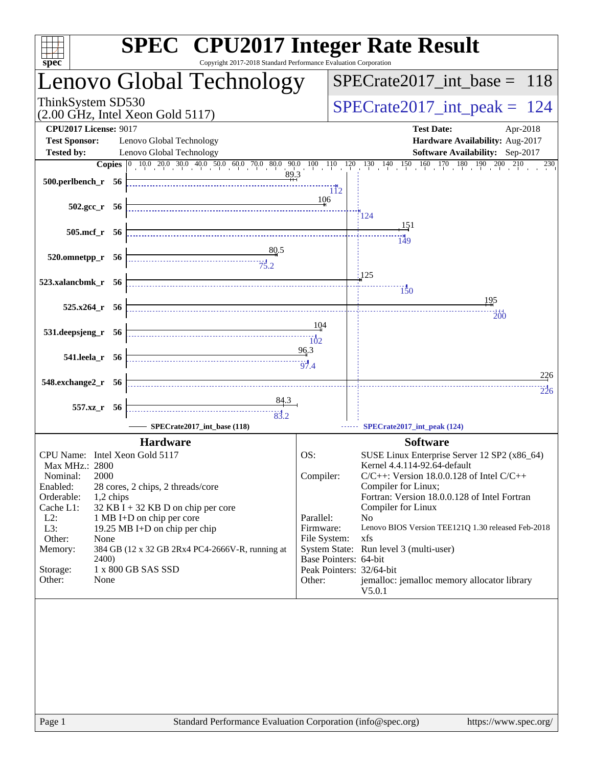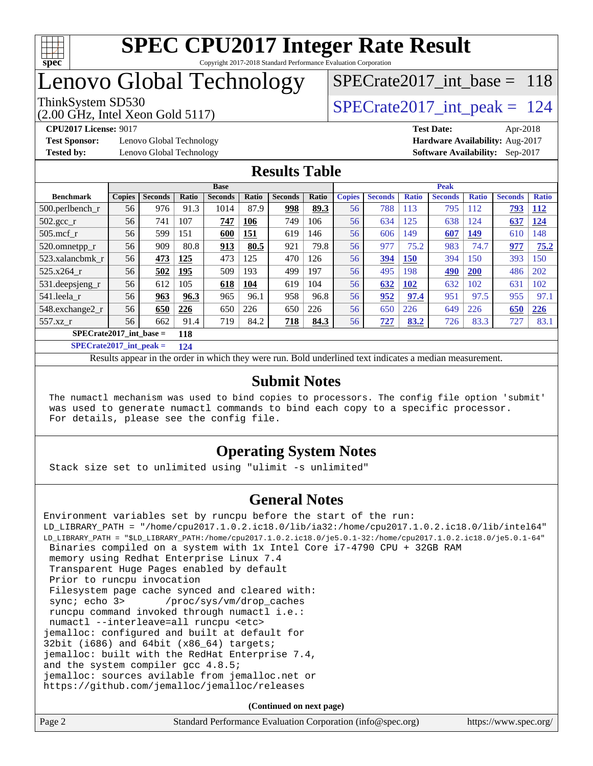

## Lenovo Global Technology

[SPECrate2017\\_int\\_base =](http://www.spec.org/auto/cpu2017/Docs/result-fields.html#SPECrate2017intbase) 118

(2.00 GHz, Intel Xeon Gold 5117)

**[CPU2017 License:](http://www.spec.org/auto/cpu2017/Docs/result-fields.html#CPU2017License)** 9017 **[Test Date:](http://www.spec.org/auto/cpu2017/Docs/result-fields.html#TestDate)** Apr-2018

**[Test Sponsor:](http://www.spec.org/auto/cpu2017/Docs/result-fields.html#TestSponsor)** Lenovo Global Technology **[Hardware Availability:](http://www.spec.org/auto/cpu2017/Docs/result-fields.html#HardwareAvailability)** Aug-2017

ThinkSystem SD530  $SPECrate2017\_int\_peak = 124$ 

**[Tested by:](http://www.spec.org/auto/cpu2017/Docs/result-fields.html#Testedby)** Lenovo Global Technology **[Software Availability:](http://www.spec.org/auto/cpu2017/Docs/result-fields.html#SoftwareAvailability)** Sep-2017

#### **[Results Table](http://www.spec.org/auto/cpu2017/Docs/result-fields.html#ResultsTable)**

|                           | <b>Base</b>   |                |              |                | <b>Peak</b>  |                |       |               |                |              |                |              |                |              |
|---------------------------|---------------|----------------|--------------|----------------|--------------|----------------|-------|---------------|----------------|--------------|----------------|--------------|----------------|--------------|
| <b>Benchmark</b>          | <b>Copies</b> | <b>Seconds</b> | <b>Ratio</b> | <b>Seconds</b> | <b>Ratio</b> | <b>Seconds</b> | Ratio | <b>Copies</b> | <b>Seconds</b> | <b>Ratio</b> | <b>Seconds</b> | <b>Ratio</b> | <b>Seconds</b> | <b>Ratio</b> |
| $500$ .perlbench r        | 56            | 976            | 91.3         | 1014           | 87.9         | 998            | 89.3  | 56            | 788            | 113          | 795            | 112          | 793            | <b>112</b>   |
| $502.\text{gcc}_{r}$      | 56            | 741            | 107          | 747            | 106          | 749            | 106   | 56            | 634            | 125          | 638            | 124          | 637            | 124          |
| $505$ .mcf r              | 56            | 599            | 151          | 600            | 151          | 619            | 146   | 56            | 606            | 149          | 607            | 149          | 610            | 148          |
| 520.omnetpp_r             | 56            | 909            | 80.8         | 913            | 80.5         | 921            | 79.8  | 56            | 977            | 75.2         | 983            | 74.7         | 977            | 75.2         |
| 523.xalancbmk r           | 56            | 473            | 125          | 473            | 125          | 470            | 126   | 56            | 394            | <b>150</b>   | 394            | 150          | 393            | 150          |
| 525.x264 r                | 56            | 502            | 195          | 509            | 193          | 499            | 197   | 56            | 495            | 198          | 490            | <b>200</b>   | 486            | 202          |
| 531.deepsjeng_r           | 56            | 612            | 105          | 618            | 104          | 619            | 104   | 56            | 632            | <b>102</b>   | 632            | 102          | 631            | 102          |
| 541.leela r               | 56            | 963            | 96.3         | 965            | 96.1         | 958            | 96.8  | 56            | 952            | 97.4         | 951            | 97.5         | 955            | 97.1         |
| 548.exchange2_r           | 56            | 650            | 226          | 650            | 226          | 650            | 226   | 56            | 650            | 226          | 649            | 226          | 650            | 226          |
| 557.xz r                  | 56            | 662            | 91.4         | 719            | 84.2         | 718            | 84.3  | 56            | 727            | 83.2         | 726            | 83.3         | 727            | 83.1         |
| $SPECrate2017$ int base = |               |                | 118          |                |              |                |       |               |                |              |                |              |                |              |

**[SPECrate2017\\_int\\_peak =](http://www.spec.org/auto/cpu2017/Docs/result-fields.html#SPECrate2017intpeak) 124**

Results appear in the [order in which they were run.](http://www.spec.org/auto/cpu2017/Docs/result-fields.html#RunOrder) Bold underlined text [indicates a median measurement.](http://www.spec.org/auto/cpu2017/Docs/result-fields.html#Median)

#### **[Submit Notes](http://www.spec.org/auto/cpu2017/Docs/result-fields.html#SubmitNotes)**

 The numactl mechanism was used to bind copies to processors. The config file option 'submit' was used to generate numactl commands to bind each copy to a specific processor. For details, please see the config file.

#### **[Operating System Notes](http://www.spec.org/auto/cpu2017/Docs/result-fields.html#OperatingSystemNotes)**

Stack size set to unlimited using "ulimit -s unlimited"

#### **[General Notes](http://www.spec.org/auto/cpu2017/Docs/result-fields.html#GeneralNotes)**

Environment variables set by runcpu before the start of the run: LD\_LIBRARY\_PATH = "/home/cpu2017.1.0.2.ic18.0/lib/ia32:/home/cpu2017.1.0.2.ic18.0/lib/intel64" LD\_LIBRARY\_PATH = "\$LD\_LIBRARY\_PATH:/home/cpu2017.1.0.2.ic18.0/je5.0.1-32:/home/cpu2017.1.0.2.ic18.0/je5.0.1-64" Binaries compiled on a system with 1x Intel Core i7-4790 CPU + 32GB RAM memory using Redhat Enterprise Linux 7.4 Transparent Huge Pages enabled by default Prior to runcpu invocation Filesystem page cache synced and cleared with: sync; echo 3> /proc/sys/vm/drop\_caches runcpu command invoked through numactl i.e.: numactl --interleave=all runcpu <etc> jemalloc: configured and built at default for 32bit (i686) and 64bit (x86\_64) targets; jemalloc: built with the RedHat Enterprise 7.4, and the system compiler gcc 4.8.5; jemalloc: sources avilable from jemalloc.net or <https://github.com/jemalloc/jemalloc/releases>

**(Continued on next page)**

| Page 2 | Standard Performance Evaluation Corporation (info@spec.org) | https://www.spec.org/ |
|--------|-------------------------------------------------------------|-----------------------|
|--------|-------------------------------------------------------------|-----------------------|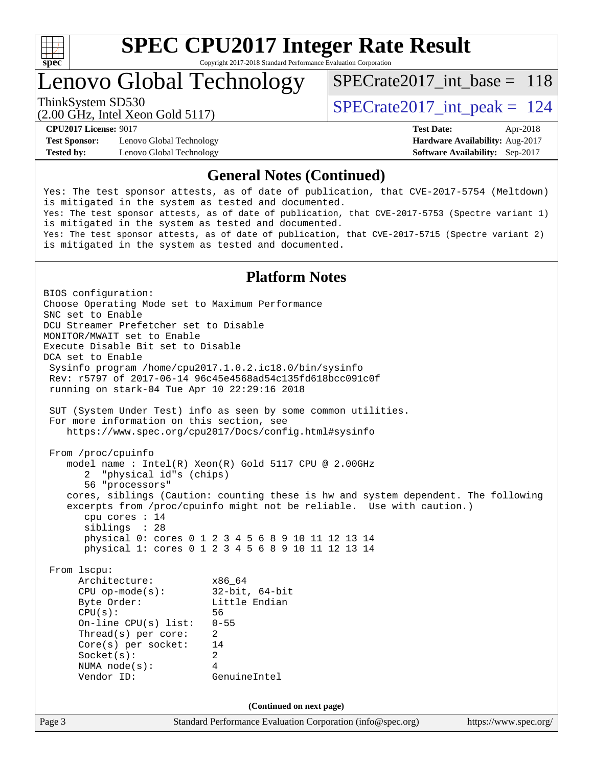

# **[SPEC CPU2017 Integer Rate Result](http://www.spec.org/auto/cpu2017/Docs/result-fields.html#SPECCPU2017IntegerRateResult)**

Copyright 2017-2018 Standard Performance Evaluation Corporation

Lenovo Global Technology

 $SPECrate2017\_int\_base = 118$ 

(2.00 GHz, Intel Xeon Gold 5117) ThinkSystem SD530  $SPECrate2017\_int\_peak = 124$ 

**[Test Sponsor:](http://www.spec.org/auto/cpu2017/Docs/result-fields.html#TestSponsor)** Lenovo Global Technology **[Hardware Availability:](http://www.spec.org/auto/cpu2017/Docs/result-fields.html#HardwareAvailability)** Aug-2017 **[Tested by:](http://www.spec.org/auto/cpu2017/Docs/result-fields.html#Testedby)** Lenovo Global Technology **[Software Availability:](http://www.spec.org/auto/cpu2017/Docs/result-fields.html#SoftwareAvailability)** Sep-2017

**[CPU2017 License:](http://www.spec.org/auto/cpu2017/Docs/result-fields.html#CPU2017License)** 9017 **[Test Date:](http://www.spec.org/auto/cpu2017/Docs/result-fields.html#TestDate)** Apr-2018

#### **[General Notes \(Continued\)](http://www.spec.org/auto/cpu2017/Docs/result-fields.html#GeneralNotes)**

Yes: The test sponsor attests, as of date of publication, that CVE-2017-5754 (Meltdown) is mitigated in the system as tested and documented. Yes: The test sponsor attests, as of date of publication, that CVE-2017-5753 (Spectre variant 1) is mitigated in the system as tested and documented. Yes: The test sponsor attests, as of date of publication, that CVE-2017-5715 (Spectre variant 2) is mitigated in the system as tested and documented.

#### **[Platform Notes](http://www.spec.org/auto/cpu2017/Docs/result-fields.html#PlatformNotes)**

Page 3 Standard Performance Evaluation Corporation [\(info@spec.org\)](mailto:info@spec.org) <https://www.spec.org/> BIOS configuration: Choose Operating Mode set to Maximum Performance SNC set to Enable DCU Streamer Prefetcher set to Disable MONITOR/MWAIT set to Enable Execute Disable Bit set to Disable DCA set to Enable Sysinfo program /home/cpu2017.1.0.2.ic18.0/bin/sysinfo Rev: r5797 of 2017-06-14 96c45e4568ad54c135fd618bcc091c0f running on stark-04 Tue Apr 10 22:29:16 2018 SUT (System Under Test) info as seen by some common utilities. For more information on this section, see <https://www.spec.org/cpu2017/Docs/config.html#sysinfo> From /proc/cpuinfo model name : Intel(R) Xeon(R) Gold 5117 CPU @ 2.00GHz 2 "physical id"s (chips) 56 "processors" cores, siblings (Caution: counting these is hw and system dependent. The following excerpts from /proc/cpuinfo might not be reliable. Use with caution.) cpu cores : 14 siblings : 28 physical 0: cores 0 1 2 3 4 5 6 8 9 10 11 12 13 14 physical 1: cores 0 1 2 3 4 5 6 8 9 10 11 12 13 14 From lscpu: Architecture: x86\_64 CPU op-mode(s): 32-bit, 64-bit Byte Order: Little Endian CPU(s): 56 On-line CPU(s) list: 0-55 Thread(s) per core: 2 Core(s) per socket: 14 Socket(s): 2 NUMA node(s): 4 Vendor ID: GenuineIntel **(Continued on next page)**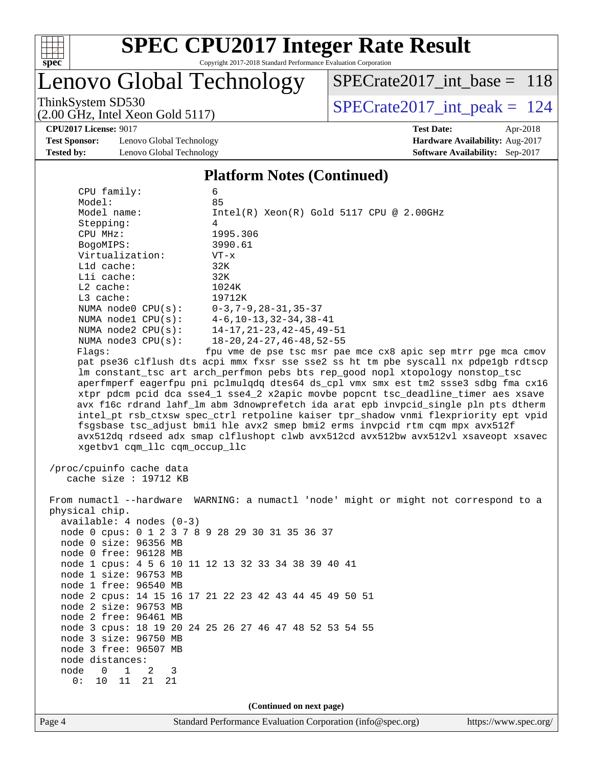

# **[SPEC CPU2017 Integer Rate Result](http://www.spec.org/auto/cpu2017/Docs/result-fields.html#SPECCPU2017IntegerRateResult)**

Copyright 2017-2018 Standard Performance Evaluation Corporation

## Lenovo Global Technology

[SPECrate2017\\_int\\_base =](http://www.spec.org/auto/cpu2017/Docs/result-fields.html#SPECrate2017intbase) 118

(2.00 GHz, Intel Xeon Gold 5117)

ThinkSystem SD530<br>  $(2.00 \text{ GHz})$  Intel Xeon Gold 5117)

**[CPU2017 License:](http://www.spec.org/auto/cpu2017/Docs/result-fields.html#CPU2017License)** 9017 **[Test Date:](http://www.spec.org/auto/cpu2017/Docs/result-fields.html#TestDate)** Apr-2018

**[Test Sponsor:](http://www.spec.org/auto/cpu2017/Docs/result-fields.html#TestSponsor)** Lenovo Global Technology **[Hardware Availability:](http://www.spec.org/auto/cpu2017/Docs/result-fields.html#HardwareAvailability)** Aug-2017 **[Tested by:](http://www.spec.org/auto/cpu2017/Docs/result-fields.html#Testedby)** Lenovo Global Technology **[Software Availability:](http://www.spec.org/auto/cpu2017/Docs/result-fields.html#SoftwareAvailability)** Sep-2017

#### **[Platform Notes \(Continued\)](http://www.spec.org/auto/cpu2017/Docs/result-fields.html#PlatformNotes)**

| CPU family:                                     | 6                                                                                                                                                                           |  |  |  |  |  |  |
|-------------------------------------------------|-----------------------------------------------------------------------------------------------------------------------------------------------------------------------------|--|--|--|--|--|--|
| Model:                                          | 85                                                                                                                                                                          |  |  |  |  |  |  |
| Model name:                                     | $Intel(R)$ Xeon $(R)$ Gold 5117 CPU @ 2.00GHz                                                                                                                               |  |  |  |  |  |  |
| Stepping:                                       | 4                                                                                                                                                                           |  |  |  |  |  |  |
| CPU MHz:                                        | 1995.306                                                                                                                                                                    |  |  |  |  |  |  |
| BogoMIPS:                                       | 3990.61                                                                                                                                                                     |  |  |  |  |  |  |
| Virtualization:                                 | $VT - x$                                                                                                                                                                    |  |  |  |  |  |  |
| L1d cache:                                      | 32K                                                                                                                                                                         |  |  |  |  |  |  |
| Lli cache:                                      | 32K                                                                                                                                                                         |  |  |  |  |  |  |
| $L2$ cache:                                     | 1024K                                                                                                                                                                       |  |  |  |  |  |  |
| $L3$ cache:                                     | 19712K                                                                                                                                                                      |  |  |  |  |  |  |
| NUMA node0 CPU(s):                              | $0 - 3$ , 7-9, 28-31, 35-37                                                                                                                                                 |  |  |  |  |  |  |
| NUMA nodel CPU(s):                              | 4-6,10-13,32-34,38-41                                                                                                                                                       |  |  |  |  |  |  |
| NUMA node2 CPU(s):                              | 14-17, 21-23, 42-45, 49-51                                                                                                                                                  |  |  |  |  |  |  |
| NUMA node3 CPU(s):                              | $18 - 20$ , $24 - 27$ , $46 - 48$ , $52 - 55$                                                                                                                               |  |  |  |  |  |  |
| Flaqs:                                          | fpu vme de pse tsc msr pae mce cx8 apic sep mtrr pge mca cmov                                                                                                               |  |  |  |  |  |  |
|                                                 | pat pse36 clflush dts acpi mmx fxsr sse sse2 ss ht tm pbe syscall nx pdpe1gb rdtscp                                                                                         |  |  |  |  |  |  |
|                                                 | lm constant_tsc art arch_perfmon pebs bts rep_good nopl xtopology nonstop_tsc                                                                                               |  |  |  |  |  |  |
|                                                 | aperfmperf eagerfpu pni pclmulqdq dtes64 ds_cpl vmx smx est tm2 ssse3 sdbg fma cx16                                                                                         |  |  |  |  |  |  |
|                                                 | xtpr pdcm pcid dca sse4_1 sse4_2 x2apic movbe popcnt tsc_deadline_timer aes xsave                                                                                           |  |  |  |  |  |  |
|                                                 | avx f16c rdrand lahf_lm abm 3dnowprefetch ida arat epb invpcid_single pln pts dtherm<br>intel_pt rsb_ctxsw spec_ctrl retpoline kaiser tpr_shadow vnmi flexpriority ept vpid |  |  |  |  |  |  |
|                                                 | fsgsbase tsc_adjust bmil hle avx2 smep bmi2 erms invpcid rtm cqm mpx avx512f                                                                                                |  |  |  |  |  |  |
|                                                 | avx512dq rdseed adx smap clflushopt clwb avx512cd avx512bw avx512vl xsaveopt xsavec                                                                                         |  |  |  |  |  |  |
| xgetbv1 cqm_llc cqm_occup_llc                   |                                                                                                                                                                             |  |  |  |  |  |  |
|                                                 |                                                                                                                                                                             |  |  |  |  |  |  |
| /proc/cpuinfo cache data                        |                                                                                                                                                                             |  |  |  |  |  |  |
| cache size $: 19712$ KB                         |                                                                                                                                                                             |  |  |  |  |  |  |
|                                                 |                                                                                                                                                                             |  |  |  |  |  |  |
|                                                 | From numactl --hardware WARNING: a numactl 'node' might or might not correspond to a                                                                                        |  |  |  |  |  |  |
| physical chip.                                  |                                                                                                                                                                             |  |  |  |  |  |  |
| $available: 4 nodes (0-3)$                      |                                                                                                                                                                             |  |  |  |  |  |  |
| node 0 cpus: 0 1 2 3 7 8 9 28 29 30 31 35 36 37 |                                                                                                                                                                             |  |  |  |  |  |  |
| node 0 size: 96356 MB                           |                                                                                                                                                                             |  |  |  |  |  |  |
| node 0 free: 96128 MB                           |                                                                                                                                                                             |  |  |  |  |  |  |
|                                                 | node 1 cpus: 4 5 6 10 11 12 13 32 33 34 38 39 40 41                                                                                                                         |  |  |  |  |  |  |
| node 1 size: 96753 MB                           |                                                                                                                                                                             |  |  |  |  |  |  |
| node 1 free: 96540 MB                           |                                                                                                                                                                             |  |  |  |  |  |  |
|                                                 | node 2 cpus: 14 15 16 17 21 22 23 42 43 44 45 49 50 51                                                                                                                      |  |  |  |  |  |  |
| node 2 size: 96753 MB                           |                                                                                                                                                                             |  |  |  |  |  |  |
| node 2 free: 96461 MB                           |                                                                                                                                                                             |  |  |  |  |  |  |
|                                                 | node 3 cpus: 18 19 20 24 25 26 27 46 47 48 52 53 54 55                                                                                                                      |  |  |  |  |  |  |
| node 3 size: 96750 MB                           |                                                                                                                                                                             |  |  |  |  |  |  |
| node 3 free: 96507 MB                           |                                                                                                                                                                             |  |  |  |  |  |  |
| node distances:                                 |                                                                                                                                                                             |  |  |  |  |  |  |
| node<br>$\mathbf 1$<br>0<br>2<br>3              |                                                                                                                                                                             |  |  |  |  |  |  |
| 0:<br>11<br>10<br>21<br>21                      |                                                                                                                                                                             |  |  |  |  |  |  |
|                                                 |                                                                                                                                                                             |  |  |  |  |  |  |
| (Continued on next page)                        |                                                                                                                                                                             |  |  |  |  |  |  |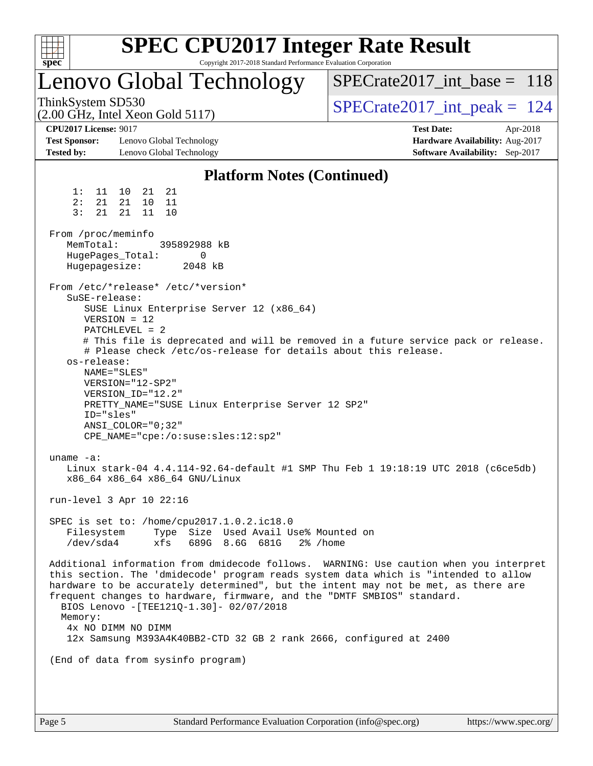|                                                                           | <b>SPEC CPU2017 Integer Rate Result</b><br>Copyright 2017-2018 Standard Performance Evaluation Corporation                                                                                                                                                                                                                                                            |                                                                                                                                                                                                                                                                     |
|---------------------------------------------------------------------------|-----------------------------------------------------------------------------------------------------------------------------------------------------------------------------------------------------------------------------------------------------------------------------------------------------------------------------------------------------------------------|---------------------------------------------------------------------------------------------------------------------------------------------------------------------------------------------------------------------------------------------------------------------|
| spec <sup>®</sup>                                                         | Lenovo Global Technology                                                                                                                                                                                                                                                                                                                                              | $SPECrate2017\_int\_base = 118$                                                                                                                                                                                                                                     |
| ThinkSystem SD530                                                         | $(2.00$ GHz, Intel Xeon Gold 5117)                                                                                                                                                                                                                                                                                                                                    | $SPECrate2017\_int\_peak = 124$                                                                                                                                                                                                                                     |
| <b>CPU2017 License: 9017</b><br><b>Test Sponsor:</b><br><b>Tested by:</b> | Lenovo Global Technology<br>Lenovo Global Technology                                                                                                                                                                                                                                                                                                                  | <b>Test Date:</b><br>Apr-2018<br>Hardware Availability: Aug-2017<br>Software Availability: Sep-2017                                                                                                                                                                 |
|                                                                           | <b>Platform Notes (Continued)</b>                                                                                                                                                                                                                                                                                                                                     |                                                                                                                                                                                                                                                                     |
| 1:<br>11<br>2:<br>21<br>3:<br>21                                          | 21<br>21<br>10<br>21<br>10<br>11<br>21<br>11<br>10                                                                                                                                                                                                                                                                                                                    |                                                                                                                                                                                                                                                                     |
| From /proc/meminfo<br>MemTotal:<br>HugePages_Total:<br>Hugepagesize:      | 395892988 kB<br>0<br>2048 kB                                                                                                                                                                                                                                                                                                                                          |                                                                                                                                                                                                                                                                     |
| SuSE-release:<br>os-release:<br>ID="sles"<br>uname $-a$ :                 | From /etc/*release* /etc/*version*<br>SUSE Linux Enterprise Server 12 (x86_64)<br>$VERSION = 12$<br>$PATCHLEVEL = 2$<br># Please check /etc/os-release for details about this release.<br>NAME="SLES"<br>VERSION="12-SP2"<br>VERSION_ID="12.2"<br>PRETTY_NAME="SUSE Linux Enterprise Server 12 SP2"<br>$ANSI$ _COLOR=" $0:32$ "<br>CPE_NAME="cpe:/o:suse:sles:12:sp2" | # This file is deprecated and will be removed in a future service pack or release.<br>Linux stark-04 4.4.114-92.64-default #1 SMP Thu Feb 1 19:18:19 UTC 2018 (c6ce5db)                                                                                             |
|                                                                           | x86_64 x86_64 x86_64 GNU/Linux<br>run-level 3 Apr 10 22:16                                                                                                                                                                                                                                                                                                            |                                                                                                                                                                                                                                                                     |
| Filesystem<br>/dev/sda4                                                   | SPEC is set to: /home/cpu2017.1.0.2.ic18.0<br>Type Size Used Avail Use% Mounted on<br>689G 8.6G 681G<br>xfs                                                                                                                                                                                                                                                           | $2\%$ /home                                                                                                                                                                                                                                                         |
| Memory:                                                                   | frequent changes to hardware, firmware, and the "DMTF SMBIOS" standard.<br>BIOS Lenovo - [TEE121Q-1.30]- 02/07/2018<br>4x NO DIMM NO DIMM<br>12x Samsung M393A4K40BB2-CTD 32 GB 2 rank 2666, configured at 2400                                                                                                                                                       | Additional information from dmidecode follows. WARNING: Use caution when you interpret<br>this section. The 'dmidecode' program reads system data which is "intended to allow<br>hardware to be accurately determined", but the intent may not be met, as there are |
|                                                                           | (End of data from sysinfo program)                                                                                                                                                                                                                                                                                                                                    |                                                                                                                                                                                                                                                                     |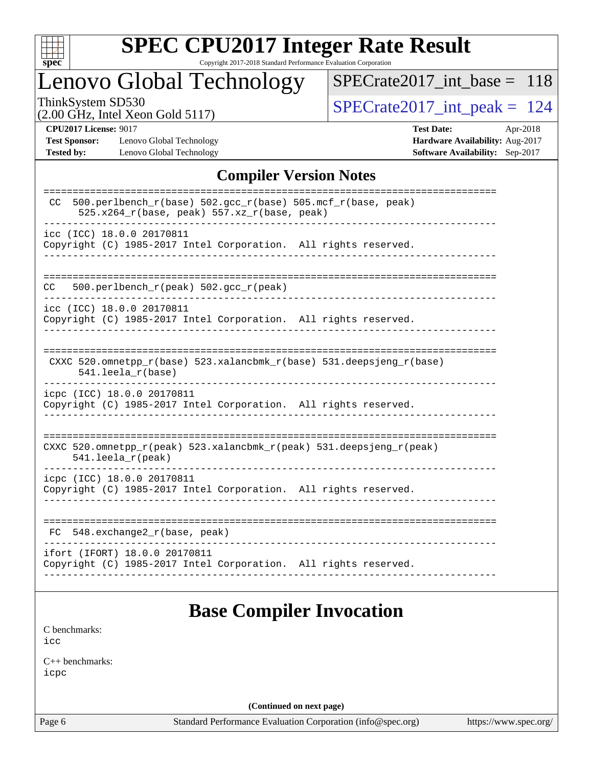

# **[SPEC CPU2017 Integer Rate Result](http://www.spec.org/auto/cpu2017/Docs/result-fields.html#SPECCPU2017IntegerRateResult)**

Copyright 2017-2018 Standard Performance Evaluation Corporation

## Lenovo Global Technology

[SPECrate2017\\_int\\_base =](http://www.spec.org/auto/cpu2017/Docs/result-fields.html#SPECrate2017intbase) 118

(2.00 GHz, Intel Xeon Gold 5117)

ThinkSystem SD530<br>  $(2.00 \text{ GHz})$  Intel Xeon Gold 5117)

**[Test Sponsor:](http://www.spec.org/auto/cpu2017/Docs/result-fields.html#TestSponsor)** Lenovo Global Technology **[Hardware Availability:](http://www.spec.org/auto/cpu2017/Docs/result-fields.html#HardwareAvailability)** Aug-2017 **[Tested by:](http://www.spec.org/auto/cpu2017/Docs/result-fields.html#Testedby)** Lenovo Global Technology **[Software Availability:](http://www.spec.org/auto/cpu2017/Docs/result-fields.html#SoftwareAvailability)** Sep-2017

**[CPU2017 License:](http://www.spec.org/auto/cpu2017/Docs/result-fields.html#CPU2017License)** 9017 **[Test Date:](http://www.spec.org/auto/cpu2017/Docs/result-fields.html#TestDate)** Apr-2018

#### **[Compiler Version Notes](http://www.spec.org/auto/cpu2017/Docs/result-fields.html#CompilerVersionNotes)**

| 500.perlbench_r(base) 502.gcc_r(base) 505.mcf_r(base, peak)<br>CC.<br>525.x264_r(base, peak) 557.xz_r(base, peak) |
|-------------------------------------------------------------------------------------------------------------------|
| icc (ICC) 18.0.0 20170811<br>Copyright (C) 1985-2017 Intel Corporation. All rights reserved.                      |
| 500.perlbench_r(peak) 502.gcc_r(peak)<br>CC.                                                                      |
| icc (ICC) 18.0.0 20170811<br>Copyright (C) 1985-2017 Intel Corporation. All rights reserved.                      |
| CXXC 520.omnetpp_r(base) 523.xalancbmk_r(base) 531.deepsjeng_r(base)<br>$541.$ leela $r(base)$                    |
| icpc (ICC) 18.0.0 20170811<br>Copyright (C) 1985-2017 Intel Corporation. All rights reserved.                     |
| CXXC 520.omnetpp_r(peak) 523.xalancbmk_r(peak) 531.deepsjeng_r(peak)<br>$541.$ leela_r(peak)                      |
| icpc (ICC) 18.0.0 20170811<br>Copyright (C) 1985-2017 Intel Corporation. All rights reserved.                     |
| 548.exchange2_r(base, peak)<br>FC                                                                                 |
| ifort (IFORT) 18.0.0 20170811<br>Copyright (C) 1985-2017 Intel Corporation. All rights reserved.                  |
|                                                                                                                   |

## **[Base Compiler Invocation](http://www.spec.org/auto/cpu2017/Docs/result-fields.html#BaseCompilerInvocation)**

[C benchmarks](http://www.spec.org/auto/cpu2017/Docs/result-fields.html#Cbenchmarks): [icc](http://www.spec.org/cpu2017/results/res2018q2/cpu2017-20180513-05489.flags.html#user_CCbase_intel_icc_18.0_66fc1ee009f7361af1fbd72ca7dcefbb700085f36577c54f309893dd4ec40d12360134090235512931783d35fd58c0460139e722d5067c5574d8eaf2b3e37e92)

[C++ benchmarks:](http://www.spec.org/auto/cpu2017/Docs/result-fields.html#CXXbenchmarks) [icpc](http://www.spec.org/cpu2017/results/res2018q2/cpu2017-20180513-05489.flags.html#user_CXXbase_intel_icpc_18.0_c510b6838c7f56d33e37e94d029a35b4a7bccf4766a728ee175e80a419847e808290a9b78be685c44ab727ea267ec2f070ec5dc83b407c0218cded6866a35d07)

**(Continued on next page)**

Page 6 Standard Performance Evaluation Corporation [\(info@spec.org\)](mailto:info@spec.org) <https://www.spec.org/>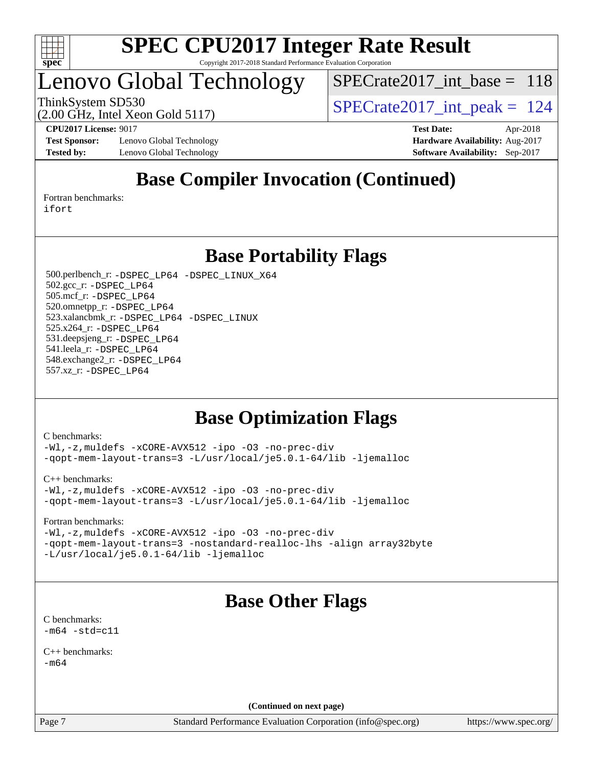

## Lenovo Global Technology

 $SPECrate2017\_int\_base = 118$ 

(2.00 GHz, Intel Xeon Gold 5117)

ThinkSystem SD530<br>  $\frac{124}{100}$  [SPECrate2017\\_int\\_peak =](http://www.spec.org/auto/cpu2017/Docs/result-fields.html#SPECrate2017intpeak) 124

**[Test Sponsor:](http://www.spec.org/auto/cpu2017/Docs/result-fields.html#TestSponsor)** Lenovo Global Technology **[Hardware Availability:](http://www.spec.org/auto/cpu2017/Docs/result-fields.html#HardwareAvailability)** Aug-2017 **[Tested by:](http://www.spec.org/auto/cpu2017/Docs/result-fields.html#Testedby)** Lenovo Global Technology **[Software Availability:](http://www.spec.org/auto/cpu2017/Docs/result-fields.html#SoftwareAvailability)** Sep-2017

**[CPU2017 License:](http://www.spec.org/auto/cpu2017/Docs/result-fields.html#CPU2017License)** 9017 **[Test Date:](http://www.spec.org/auto/cpu2017/Docs/result-fields.html#TestDate)** Apr-2018

## **[Base Compiler Invocation \(Continued\)](http://www.spec.org/auto/cpu2017/Docs/result-fields.html#BaseCompilerInvocation)**

[Fortran benchmarks](http://www.spec.org/auto/cpu2017/Docs/result-fields.html#Fortranbenchmarks): [ifort](http://www.spec.org/cpu2017/results/res2018q2/cpu2017-20180513-05489.flags.html#user_FCbase_intel_ifort_18.0_8111460550e3ca792625aed983ce982f94888b8b503583aa7ba2b8303487b4d8a21a13e7191a45c5fd58ff318f48f9492884d4413fa793fd88dd292cad7027ca)

**[Base Portability Flags](http://www.spec.org/auto/cpu2017/Docs/result-fields.html#BasePortabilityFlags)**

 500.perlbench\_r: [-DSPEC\\_LP64](http://www.spec.org/cpu2017/results/res2018q2/cpu2017-20180513-05489.flags.html#b500.perlbench_r_basePORTABILITY_DSPEC_LP64) [-DSPEC\\_LINUX\\_X64](http://www.spec.org/cpu2017/results/res2018q2/cpu2017-20180513-05489.flags.html#b500.perlbench_r_baseCPORTABILITY_DSPEC_LINUX_X64) 502.gcc\_r: [-DSPEC\\_LP64](http://www.spec.org/cpu2017/results/res2018q2/cpu2017-20180513-05489.flags.html#suite_basePORTABILITY502_gcc_r_DSPEC_LP64) 505.mcf\_r: [-DSPEC\\_LP64](http://www.spec.org/cpu2017/results/res2018q2/cpu2017-20180513-05489.flags.html#suite_basePORTABILITY505_mcf_r_DSPEC_LP64) 520.omnetpp\_r: [-DSPEC\\_LP64](http://www.spec.org/cpu2017/results/res2018q2/cpu2017-20180513-05489.flags.html#suite_basePORTABILITY520_omnetpp_r_DSPEC_LP64) 523.xalancbmk\_r: [-DSPEC\\_LP64](http://www.spec.org/cpu2017/results/res2018q2/cpu2017-20180513-05489.flags.html#suite_basePORTABILITY523_xalancbmk_r_DSPEC_LP64) [-DSPEC\\_LINUX](http://www.spec.org/cpu2017/results/res2018q2/cpu2017-20180513-05489.flags.html#b523.xalancbmk_r_baseCXXPORTABILITY_DSPEC_LINUX) 525.x264\_r: [-DSPEC\\_LP64](http://www.spec.org/cpu2017/results/res2018q2/cpu2017-20180513-05489.flags.html#suite_basePORTABILITY525_x264_r_DSPEC_LP64) 531.deepsjeng\_r: [-DSPEC\\_LP64](http://www.spec.org/cpu2017/results/res2018q2/cpu2017-20180513-05489.flags.html#suite_basePORTABILITY531_deepsjeng_r_DSPEC_LP64) 541.leela\_r: [-DSPEC\\_LP64](http://www.spec.org/cpu2017/results/res2018q2/cpu2017-20180513-05489.flags.html#suite_basePORTABILITY541_leela_r_DSPEC_LP64) 548.exchange2\_r: [-DSPEC\\_LP64](http://www.spec.org/cpu2017/results/res2018q2/cpu2017-20180513-05489.flags.html#suite_basePORTABILITY548_exchange2_r_DSPEC_LP64) 557.xz\_r: [-DSPEC\\_LP64](http://www.spec.org/cpu2017/results/res2018q2/cpu2017-20180513-05489.flags.html#suite_basePORTABILITY557_xz_r_DSPEC_LP64)

## **[Base Optimization Flags](http://www.spec.org/auto/cpu2017/Docs/result-fields.html#BaseOptimizationFlags)**

[C benchmarks](http://www.spec.org/auto/cpu2017/Docs/result-fields.html#Cbenchmarks):

[-Wl,-z,muldefs](http://www.spec.org/cpu2017/results/res2018q2/cpu2017-20180513-05489.flags.html#user_CCbase_link_force_multiple1_b4cbdb97b34bdee9ceefcfe54f4c8ea74255f0b02a4b23e853cdb0e18eb4525ac79b5a88067c842dd0ee6996c24547a27a4b99331201badda8798ef8a743f577) [-xCORE-AVX512](http://www.spec.org/cpu2017/results/res2018q2/cpu2017-20180513-05489.flags.html#user_CCbase_f-xCORE-AVX512) [-ipo](http://www.spec.org/cpu2017/results/res2018q2/cpu2017-20180513-05489.flags.html#user_CCbase_f-ipo) [-O3](http://www.spec.org/cpu2017/results/res2018q2/cpu2017-20180513-05489.flags.html#user_CCbase_f-O3) [-no-prec-div](http://www.spec.org/cpu2017/results/res2018q2/cpu2017-20180513-05489.flags.html#user_CCbase_f-no-prec-div) [-qopt-mem-layout-trans=3](http://www.spec.org/cpu2017/results/res2018q2/cpu2017-20180513-05489.flags.html#user_CCbase_f-qopt-mem-layout-trans_de80db37974c74b1f0e20d883f0b675c88c3b01e9d123adea9b28688d64333345fb62bc4a798493513fdb68f60282f9a726aa07f478b2f7113531aecce732043) [-L/usr/local/je5.0.1-64/lib](http://www.spec.org/cpu2017/results/res2018q2/cpu2017-20180513-05489.flags.html#user_CCbase_jemalloc_link_path64_4b10a636b7bce113509b17f3bd0d6226c5fb2346b9178c2d0232c14f04ab830f976640479e5c33dc2bcbbdad86ecfb6634cbbd4418746f06f368b512fced5394) [-ljemalloc](http://www.spec.org/cpu2017/results/res2018q2/cpu2017-20180513-05489.flags.html#user_CCbase_jemalloc_link_lib_d1249b907c500fa1c0672f44f562e3d0f79738ae9e3c4a9c376d49f265a04b9c99b167ecedbf6711b3085be911c67ff61f150a17b3472be731631ba4d0471706)

[C++ benchmarks:](http://www.spec.org/auto/cpu2017/Docs/result-fields.html#CXXbenchmarks)

[-Wl,-z,muldefs](http://www.spec.org/cpu2017/results/res2018q2/cpu2017-20180513-05489.flags.html#user_CXXbase_link_force_multiple1_b4cbdb97b34bdee9ceefcfe54f4c8ea74255f0b02a4b23e853cdb0e18eb4525ac79b5a88067c842dd0ee6996c24547a27a4b99331201badda8798ef8a743f577) [-xCORE-AVX512](http://www.spec.org/cpu2017/results/res2018q2/cpu2017-20180513-05489.flags.html#user_CXXbase_f-xCORE-AVX512) [-ipo](http://www.spec.org/cpu2017/results/res2018q2/cpu2017-20180513-05489.flags.html#user_CXXbase_f-ipo) [-O3](http://www.spec.org/cpu2017/results/res2018q2/cpu2017-20180513-05489.flags.html#user_CXXbase_f-O3) [-no-prec-div](http://www.spec.org/cpu2017/results/res2018q2/cpu2017-20180513-05489.flags.html#user_CXXbase_f-no-prec-div) [-qopt-mem-layout-trans=3](http://www.spec.org/cpu2017/results/res2018q2/cpu2017-20180513-05489.flags.html#user_CXXbase_f-qopt-mem-layout-trans_de80db37974c74b1f0e20d883f0b675c88c3b01e9d123adea9b28688d64333345fb62bc4a798493513fdb68f60282f9a726aa07f478b2f7113531aecce732043) [-L/usr/local/je5.0.1-64/lib](http://www.spec.org/cpu2017/results/res2018q2/cpu2017-20180513-05489.flags.html#user_CXXbase_jemalloc_link_path64_4b10a636b7bce113509b17f3bd0d6226c5fb2346b9178c2d0232c14f04ab830f976640479e5c33dc2bcbbdad86ecfb6634cbbd4418746f06f368b512fced5394) [-ljemalloc](http://www.spec.org/cpu2017/results/res2018q2/cpu2017-20180513-05489.flags.html#user_CXXbase_jemalloc_link_lib_d1249b907c500fa1c0672f44f562e3d0f79738ae9e3c4a9c376d49f265a04b9c99b167ecedbf6711b3085be911c67ff61f150a17b3472be731631ba4d0471706)

[Fortran benchmarks](http://www.spec.org/auto/cpu2017/Docs/result-fields.html#Fortranbenchmarks):

[-Wl,-z,muldefs](http://www.spec.org/cpu2017/results/res2018q2/cpu2017-20180513-05489.flags.html#user_FCbase_link_force_multiple1_b4cbdb97b34bdee9ceefcfe54f4c8ea74255f0b02a4b23e853cdb0e18eb4525ac79b5a88067c842dd0ee6996c24547a27a4b99331201badda8798ef8a743f577) [-xCORE-AVX512](http://www.spec.org/cpu2017/results/res2018q2/cpu2017-20180513-05489.flags.html#user_FCbase_f-xCORE-AVX512) [-ipo](http://www.spec.org/cpu2017/results/res2018q2/cpu2017-20180513-05489.flags.html#user_FCbase_f-ipo) [-O3](http://www.spec.org/cpu2017/results/res2018q2/cpu2017-20180513-05489.flags.html#user_FCbase_f-O3) [-no-prec-div](http://www.spec.org/cpu2017/results/res2018q2/cpu2017-20180513-05489.flags.html#user_FCbase_f-no-prec-div) [-qopt-mem-layout-trans=3](http://www.spec.org/cpu2017/results/res2018q2/cpu2017-20180513-05489.flags.html#user_FCbase_f-qopt-mem-layout-trans_de80db37974c74b1f0e20d883f0b675c88c3b01e9d123adea9b28688d64333345fb62bc4a798493513fdb68f60282f9a726aa07f478b2f7113531aecce732043) [-nostandard-realloc-lhs](http://www.spec.org/cpu2017/results/res2018q2/cpu2017-20180513-05489.flags.html#user_FCbase_f_2003_std_realloc_82b4557e90729c0f113870c07e44d33d6f5a304b4f63d4c15d2d0f1fab99f5daaed73bdb9275d9ae411527f28b936061aa8b9c8f2d63842963b95c9dd6426b8a) [-align array32byte](http://www.spec.org/cpu2017/results/res2018q2/cpu2017-20180513-05489.flags.html#user_FCbase_align_array32byte_b982fe038af199962ba9a80c053b8342c548c85b40b8e86eb3cc33dee0d7986a4af373ac2d51c3f7cf710a18d62fdce2948f201cd044323541f22fc0fffc51b6) [-L/usr/local/je5.0.1-64/lib](http://www.spec.org/cpu2017/results/res2018q2/cpu2017-20180513-05489.flags.html#user_FCbase_jemalloc_link_path64_4b10a636b7bce113509b17f3bd0d6226c5fb2346b9178c2d0232c14f04ab830f976640479e5c33dc2bcbbdad86ecfb6634cbbd4418746f06f368b512fced5394) [-ljemalloc](http://www.spec.org/cpu2017/results/res2018q2/cpu2017-20180513-05489.flags.html#user_FCbase_jemalloc_link_lib_d1249b907c500fa1c0672f44f562e3d0f79738ae9e3c4a9c376d49f265a04b9c99b167ecedbf6711b3085be911c67ff61f150a17b3472be731631ba4d0471706)

## **[Base Other Flags](http://www.spec.org/auto/cpu2017/Docs/result-fields.html#BaseOtherFlags)**

[C benchmarks](http://www.spec.org/auto/cpu2017/Docs/result-fields.html#Cbenchmarks):  $-m64 - std= c11$  $-m64 - std= c11$ 

[C++ benchmarks:](http://www.spec.org/auto/cpu2017/Docs/result-fields.html#CXXbenchmarks)  $-m64$ 

**(Continued on next page)**

Page 7 Standard Performance Evaluation Corporation [\(info@spec.org\)](mailto:info@spec.org) <https://www.spec.org/>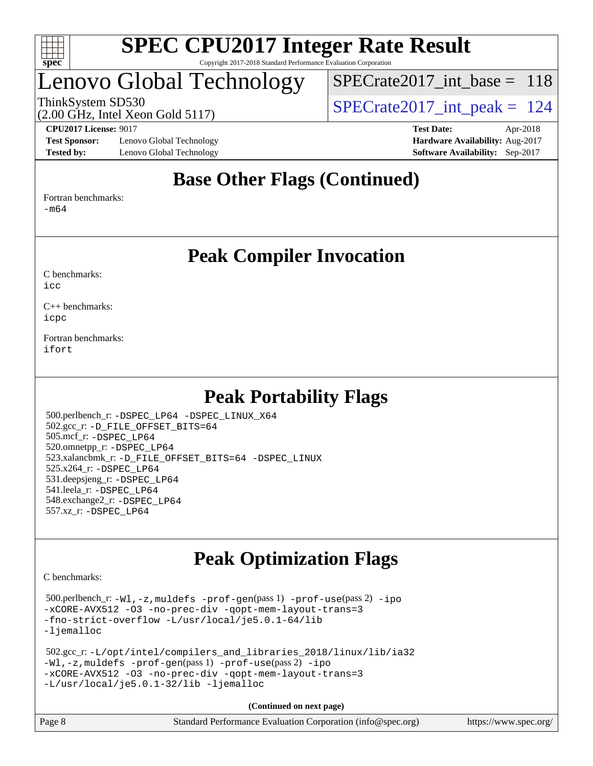

## Lenovo Global Technology

[SPECrate2017\\_int\\_base =](http://www.spec.org/auto/cpu2017/Docs/result-fields.html#SPECrate2017intbase) 118

(2.00 GHz, Intel Xeon Gold 5117)

ThinkSystem SD530  $SPECrate2017\_int\_peak = 124$ 

**[Test Sponsor:](http://www.spec.org/auto/cpu2017/Docs/result-fields.html#TestSponsor)** Lenovo Global Technology **[Hardware Availability:](http://www.spec.org/auto/cpu2017/Docs/result-fields.html#HardwareAvailability)** Aug-2017 **[Tested by:](http://www.spec.org/auto/cpu2017/Docs/result-fields.html#Testedby)** Lenovo Global Technology **[Software Availability:](http://www.spec.org/auto/cpu2017/Docs/result-fields.html#SoftwareAvailability)** Sep-2017

**[CPU2017 License:](http://www.spec.org/auto/cpu2017/Docs/result-fields.html#CPU2017License)** 9017 **[Test Date:](http://www.spec.org/auto/cpu2017/Docs/result-fields.html#TestDate)** Apr-2018

## **[Base Other Flags \(Continued\)](http://www.spec.org/auto/cpu2017/Docs/result-fields.html#BaseOtherFlags)**

[Fortran benchmarks](http://www.spec.org/auto/cpu2017/Docs/result-fields.html#Fortranbenchmarks):

[-m64](http://www.spec.org/cpu2017/results/res2018q2/cpu2017-20180513-05489.flags.html#user_FCbase_intel_intel64_18.0_af43caccfc8ded86e7699f2159af6efc7655f51387b94da716254467f3c01020a5059329e2569e4053f409e7c9202a7efc638f7a6d1ffb3f52dea4a3e31d82ab)

### **[Peak Compiler Invocation](http://www.spec.org/auto/cpu2017/Docs/result-fields.html#PeakCompilerInvocation)**

[C benchmarks](http://www.spec.org/auto/cpu2017/Docs/result-fields.html#Cbenchmarks):  $i$ cc

[C++ benchmarks:](http://www.spec.org/auto/cpu2017/Docs/result-fields.html#CXXbenchmarks) [icpc](http://www.spec.org/cpu2017/results/res2018q2/cpu2017-20180513-05489.flags.html#user_CXXpeak_intel_icpc_18.0_c510b6838c7f56d33e37e94d029a35b4a7bccf4766a728ee175e80a419847e808290a9b78be685c44ab727ea267ec2f070ec5dc83b407c0218cded6866a35d07)

[Fortran benchmarks](http://www.spec.org/auto/cpu2017/Docs/result-fields.html#Fortranbenchmarks): [ifort](http://www.spec.org/cpu2017/results/res2018q2/cpu2017-20180513-05489.flags.html#user_FCpeak_intel_ifort_18.0_8111460550e3ca792625aed983ce982f94888b8b503583aa7ba2b8303487b4d8a21a13e7191a45c5fd58ff318f48f9492884d4413fa793fd88dd292cad7027ca)

## **[Peak Portability Flags](http://www.spec.org/auto/cpu2017/Docs/result-fields.html#PeakPortabilityFlags)**

 500.perlbench\_r: [-DSPEC\\_LP64](http://www.spec.org/cpu2017/results/res2018q2/cpu2017-20180513-05489.flags.html#b500.perlbench_r_peakPORTABILITY_DSPEC_LP64) [-DSPEC\\_LINUX\\_X64](http://www.spec.org/cpu2017/results/res2018q2/cpu2017-20180513-05489.flags.html#b500.perlbench_r_peakCPORTABILITY_DSPEC_LINUX_X64) 502.gcc\_r: [-D\\_FILE\\_OFFSET\\_BITS=64](http://www.spec.org/cpu2017/results/res2018q2/cpu2017-20180513-05489.flags.html#user_peakPORTABILITY502_gcc_r_file_offset_bits_64_5ae949a99b284ddf4e95728d47cb0843d81b2eb0e18bdfe74bbf0f61d0b064f4bda2f10ea5eb90e1dcab0e84dbc592acfc5018bc955c18609f94ddb8d550002c) 505.mcf\_r: [-DSPEC\\_LP64](http://www.spec.org/cpu2017/results/res2018q2/cpu2017-20180513-05489.flags.html#suite_peakPORTABILITY505_mcf_r_DSPEC_LP64) 520.omnetpp\_r: [-DSPEC\\_LP64](http://www.spec.org/cpu2017/results/res2018q2/cpu2017-20180513-05489.flags.html#suite_peakPORTABILITY520_omnetpp_r_DSPEC_LP64) 523.xalancbmk\_r: [-D\\_FILE\\_OFFSET\\_BITS=64](http://www.spec.org/cpu2017/results/res2018q2/cpu2017-20180513-05489.flags.html#user_peakPORTABILITY523_xalancbmk_r_file_offset_bits_64_5ae949a99b284ddf4e95728d47cb0843d81b2eb0e18bdfe74bbf0f61d0b064f4bda2f10ea5eb90e1dcab0e84dbc592acfc5018bc955c18609f94ddb8d550002c) [-DSPEC\\_LINUX](http://www.spec.org/cpu2017/results/res2018q2/cpu2017-20180513-05489.flags.html#b523.xalancbmk_r_peakCXXPORTABILITY_DSPEC_LINUX) 525.x264\_r: [-DSPEC\\_LP64](http://www.spec.org/cpu2017/results/res2018q2/cpu2017-20180513-05489.flags.html#suite_peakPORTABILITY525_x264_r_DSPEC_LP64) 531.deepsjeng\_r: [-DSPEC\\_LP64](http://www.spec.org/cpu2017/results/res2018q2/cpu2017-20180513-05489.flags.html#suite_peakPORTABILITY531_deepsjeng_r_DSPEC_LP64) 541.leela\_r: [-DSPEC\\_LP64](http://www.spec.org/cpu2017/results/res2018q2/cpu2017-20180513-05489.flags.html#suite_peakPORTABILITY541_leela_r_DSPEC_LP64) 548.exchange2\_r: [-DSPEC\\_LP64](http://www.spec.org/cpu2017/results/res2018q2/cpu2017-20180513-05489.flags.html#suite_peakPORTABILITY548_exchange2_r_DSPEC_LP64) 557.xz\_r: [-DSPEC\\_LP64](http://www.spec.org/cpu2017/results/res2018q2/cpu2017-20180513-05489.flags.html#suite_peakPORTABILITY557_xz_r_DSPEC_LP64)

## **[Peak Optimization Flags](http://www.spec.org/auto/cpu2017/Docs/result-fields.html#PeakOptimizationFlags)**

[C benchmarks](http://www.spec.org/auto/cpu2017/Docs/result-fields.html#Cbenchmarks):

 500.perlbench\_r: [-Wl,-z,muldefs](http://www.spec.org/cpu2017/results/res2018q2/cpu2017-20180513-05489.flags.html#user_peakEXTRA_LDFLAGS500_perlbench_r_link_force_multiple1_b4cbdb97b34bdee9ceefcfe54f4c8ea74255f0b02a4b23e853cdb0e18eb4525ac79b5a88067c842dd0ee6996c24547a27a4b99331201badda8798ef8a743f577) [-prof-gen](http://www.spec.org/cpu2017/results/res2018q2/cpu2017-20180513-05489.flags.html#user_peakPASS1_CFLAGSPASS1_LDFLAGS500_perlbench_r_prof_gen_5aa4926d6013ddb2a31985c654b3eb18169fc0c6952a63635c234f711e6e63dd76e94ad52365559451ec499a2cdb89e4dc58ba4c67ef54ca681ffbe1461d6b36)(pass 1) [-prof-use](http://www.spec.org/cpu2017/results/res2018q2/cpu2017-20180513-05489.flags.html#user_peakPASS2_CFLAGSPASS2_LDFLAGS500_perlbench_r_prof_use_1a21ceae95f36a2b53c25747139a6c16ca95bd9def2a207b4f0849963b97e94f5260e30a0c64f4bb623698870e679ca08317ef8150905d41bd88c6f78df73f19)(pass 2) [-ipo](http://www.spec.org/cpu2017/results/res2018q2/cpu2017-20180513-05489.flags.html#user_peakPASS1_COPTIMIZEPASS2_COPTIMIZE500_perlbench_r_f-ipo) [-xCORE-AVX512](http://www.spec.org/cpu2017/results/res2018q2/cpu2017-20180513-05489.flags.html#user_peakPASS2_COPTIMIZE500_perlbench_r_f-xCORE-AVX512) [-O3](http://www.spec.org/cpu2017/results/res2018q2/cpu2017-20180513-05489.flags.html#user_peakPASS1_COPTIMIZEPASS2_COPTIMIZE500_perlbench_r_f-O3) [-no-prec-div](http://www.spec.org/cpu2017/results/res2018q2/cpu2017-20180513-05489.flags.html#user_peakPASS1_COPTIMIZEPASS2_COPTIMIZE500_perlbench_r_f-no-prec-div) [-qopt-mem-layout-trans=3](http://www.spec.org/cpu2017/results/res2018q2/cpu2017-20180513-05489.flags.html#user_peakPASS1_COPTIMIZEPASS2_COPTIMIZE500_perlbench_r_f-qopt-mem-layout-trans_de80db37974c74b1f0e20d883f0b675c88c3b01e9d123adea9b28688d64333345fb62bc4a798493513fdb68f60282f9a726aa07f478b2f7113531aecce732043) [-fno-strict-overflow](http://www.spec.org/cpu2017/results/res2018q2/cpu2017-20180513-05489.flags.html#user_peakEXTRA_OPTIMIZE500_perlbench_r_f-fno-strict-overflow) [-L/usr/local/je5.0.1-64/lib](http://www.spec.org/cpu2017/results/res2018q2/cpu2017-20180513-05489.flags.html#user_peakEXTRA_LIBS500_perlbench_r_jemalloc_link_path64_4b10a636b7bce113509b17f3bd0d6226c5fb2346b9178c2d0232c14f04ab830f976640479e5c33dc2bcbbdad86ecfb6634cbbd4418746f06f368b512fced5394) [-ljemalloc](http://www.spec.org/cpu2017/results/res2018q2/cpu2017-20180513-05489.flags.html#user_peakEXTRA_LIBS500_perlbench_r_jemalloc_link_lib_d1249b907c500fa1c0672f44f562e3d0f79738ae9e3c4a9c376d49f265a04b9c99b167ecedbf6711b3085be911c67ff61f150a17b3472be731631ba4d0471706)

```
 502.gcc_r: -L/opt/intel/compilers_and_libraries_2018/linux/lib/ia32
-Wl,-z,muldefs -prof-gen(pass 1) -prof-use(pass 2) -ipo
-xCORE-AVX512 -O3 -no-prec-div -qopt-mem-layout-trans=3
-L/usr/local/je5.0.1-32/lib -ljemalloc
```
**(Continued on next page)**

| Page 8<br>Standard Performance Evaluation Corporation (info@spec.org) | https://www.spec.org/ |
|-----------------------------------------------------------------------|-----------------------|
|-----------------------------------------------------------------------|-----------------------|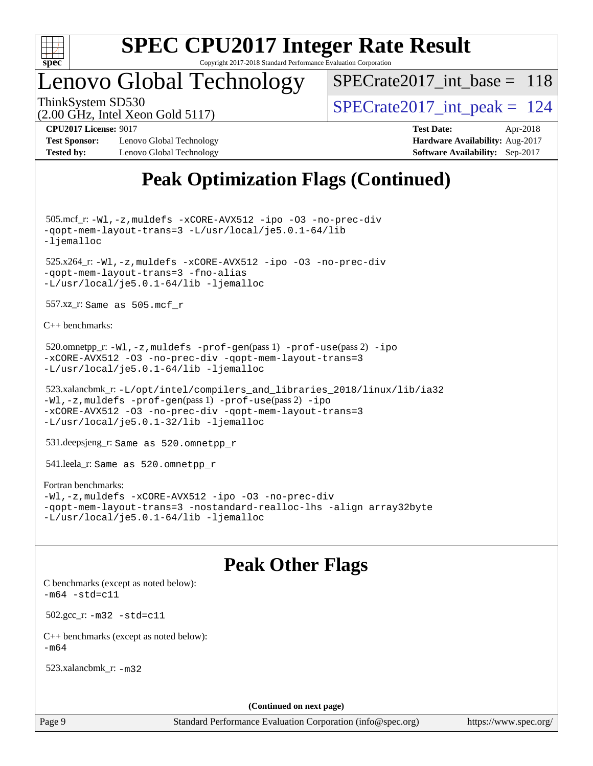

## Lenovo Global Technology

 $SPECrate2017\_int\_base = 118$ 

(2.00 GHz, Intel Xeon Gold 5117)

ThinkSystem SD530  $SPECrate2017\_int\_peak = 124$ 

# **[CPU2017 License:](http://www.spec.org/auto/cpu2017/Docs/result-fields.html#CPU2017License)** 9017 **[Test Date:](http://www.spec.org/auto/cpu2017/Docs/result-fields.html#TestDate)** Apr-2018

**[Test Sponsor:](http://www.spec.org/auto/cpu2017/Docs/result-fields.html#TestSponsor)** Lenovo Global Technology **[Hardware Availability:](http://www.spec.org/auto/cpu2017/Docs/result-fields.html#HardwareAvailability)** Aug-2017 **[Tested by:](http://www.spec.org/auto/cpu2017/Docs/result-fields.html#Testedby)** Lenovo Global Technology **[Software Availability:](http://www.spec.org/auto/cpu2017/Docs/result-fields.html#SoftwareAvailability)** Sep-2017

## **[Peak Optimization Flags \(Continued\)](http://www.spec.org/auto/cpu2017/Docs/result-fields.html#PeakOptimizationFlags)**

 505.mcf\_r: [-Wl,-z,muldefs](http://www.spec.org/cpu2017/results/res2018q2/cpu2017-20180513-05489.flags.html#user_peakEXTRA_LDFLAGS505_mcf_r_link_force_multiple1_b4cbdb97b34bdee9ceefcfe54f4c8ea74255f0b02a4b23e853cdb0e18eb4525ac79b5a88067c842dd0ee6996c24547a27a4b99331201badda8798ef8a743f577) [-xCORE-AVX512](http://www.spec.org/cpu2017/results/res2018q2/cpu2017-20180513-05489.flags.html#user_peakCOPTIMIZE505_mcf_r_f-xCORE-AVX512) [-ipo](http://www.spec.org/cpu2017/results/res2018q2/cpu2017-20180513-05489.flags.html#user_peakCOPTIMIZE505_mcf_r_f-ipo) [-O3](http://www.spec.org/cpu2017/results/res2018q2/cpu2017-20180513-05489.flags.html#user_peakCOPTIMIZE505_mcf_r_f-O3) [-no-prec-div](http://www.spec.org/cpu2017/results/res2018q2/cpu2017-20180513-05489.flags.html#user_peakCOPTIMIZE505_mcf_r_f-no-prec-div) [-qopt-mem-layout-trans=3](http://www.spec.org/cpu2017/results/res2018q2/cpu2017-20180513-05489.flags.html#user_peakCOPTIMIZE505_mcf_r_f-qopt-mem-layout-trans_de80db37974c74b1f0e20d883f0b675c88c3b01e9d123adea9b28688d64333345fb62bc4a798493513fdb68f60282f9a726aa07f478b2f7113531aecce732043) [-L/usr/local/je5.0.1-64/lib](http://www.spec.org/cpu2017/results/res2018q2/cpu2017-20180513-05489.flags.html#user_peakEXTRA_LIBS505_mcf_r_jemalloc_link_path64_4b10a636b7bce113509b17f3bd0d6226c5fb2346b9178c2d0232c14f04ab830f976640479e5c33dc2bcbbdad86ecfb6634cbbd4418746f06f368b512fced5394) [-ljemalloc](http://www.spec.org/cpu2017/results/res2018q2/cpu2017-20180513-05489.flags.html#user_peakEXTRA_LIBS505_mcf_r_jemalloc_link_lib_d1249b907c500fa1c0672f44f562e3d0f79738ae9e3c4a9c376d49f265a04b9c99b167ecedbf6711b3085be911c67ff61f150a17b3472be731631ba4d0471706) 525.x264\_r: [-Wl,-z,muldefs](http://www.spec.org/cpu2017/results/res2018q2/cpu2017-20180513-05489.flags.html#user_peakEXTRA_LDFLAGS525_x264_r_link_force_multiple1_b4cbdb97b34bdee9ceefcfe54f4c8ea74255f0b02a4b23e853cdb0e18eb4525ac79b5a88067c842dd0ee6996c24547a27a4b99331201badda8798ef8a743f577) [-xCORE-AVX512](http://www.spec.org/cpu2017/results/res2018q2/cpu2017-20180513-05489.flags.html#user_peakCOPTIMIZE525_x264_r_f-xCORE-AVX512) [-ipo](http://www.spec.org/cpu2017/results/res2018q2/cpu2017-20180513-05489.flags.html#user_peakCOPTIMIZE525_x264_r_f-ipo) [-O3](http://www.spec.org/cpu2017/results/res2018q2/cpu2017-20180513-05489.flags.html#user_peakCOPTIMIZE525_x264_r_f-O3) [-no-prec-div](http://www.spec.org/cpu2017/results/res2018q2/cpu2017-20180513-05489.flags.html#user_peakCOPTIMIZE525_x264_r_f-no-prec-div) [-qopt-mem-layout-trans=3](http://www.spec.org/cpu2017/results/res2018q2/cpu2017-20180513-05489.flags.html#user_peakCOPTIMIZE525_x264_r_f-qopt-mem-layout-trans_de80db37974c74b1f0e20d883f0b675c88c3b01e9d123adea9b28688d64333345fb62bc4a798493513fdb68f60282f9a726aa07f478b2f7113531aecce732043) [-fno-alias](http://www.spec.org/cpu2017/results/res2018q2/cpu2017-20180513-05489.flags.html#user_peakEXTRA_OPTIMIZE525_x264_r_f-no-alias_77dbac10d91cbfe898fbf4a29d1b29b694089caa623bdd1baccc9957d4edbe8d106c0b357e2748a65b44fc9e83d78098bb898077f3fe92f9faf24f7bd4a07ed7) [-L/usr/local/je5.0.1-64/lib](http://www.spec.org/cpu2017/results/res2018q2/cpu2017-20180513-05489.flags.html#user_peakEXTRA_LIBS525_x264_r_jemalloc_link_path64_4b10a636b7bce113509b17f3bd0d6226c5fb2346b9178c2d0232c14f04ab830f976640479e5c33dc2bcbbdad86ecfb6634cbbd4418746f06f368b512fced5394) [-ljemalloc](http://www.spec.org/cpu2017/results/res2018q2/cpu2017-20180513-05489.flags.html#user_peakEXTRA_LIBS525_x264_r_jemalloc_link_lib_d1249b907c500fa1c0672f44f562e3d0f79738ae9e3c4a9c376d49f265a04b9c99b167ecedbf6711b3085be911c67ff61f150a17b3472be731631ba4d0471706) 557.xz\_r: Same as 505.mcf\_r [C++ benchmarks:](http://www.spec.org/auto/cpu2017/Docs/result-fields.html#CXXbenchmarks) 520.omnetpp\_r: [-Wl,-z,muldefs](http://www.spec.org/cpu2017/results/res2018q2/cpu2017-20180513-05489.flags.html#user_peakEXTRA_LDFLAGS520_omnetpp_r_link_force_multiple1_b4cbdb97b34bdee9ceefcfe54f4c8ea74255f0b02a4b23e853cdb0e18eb4525ac79b5a88067c842dd0ee6996c24547a27a4b99331201badda8798ef8a743f577) [-prof-gen](http://www.spec.org/cpu2017/results/res2018q2/cpu2017-20180513-05489.flags.html#user_peakPASS1_CXXFLAGSPASS1_LDFLAGS520_omnetpp_r_prof_gen_5aa4926d6013ddb2a31985c654b3eb18169fc0c6952a63635c234f711e6e63dd76e94ad52365559451ec499a2cdb89e4dc58ba4c67ef54ca681ffbe1461d6b36)(pass 1) [-prof-use](http://www.spec.org/cpu2017/results/res2018q2/cpu2017-20180513-05489.flags.html#user_peakPASS2_CXXFLAGSPASS2_LDFLAGS520_omnetpp_r_prof_use_1a21ceae95f36a2b53c25747139a6c16ca95bd9def2a207b4f0849963b97e94f5260e30a0c64f4bb623698870e679ca08317ef8150905d41bd88c6f78df73f19)(pass 2) [-ipo](http://www.spec.org/cpu2017/results/res2018q2/cpu2017-20180513-05489.flags.html#user_peakPASS1_CXXOPTIMIZEPASS2_CXXOPTIMIZE520_omnetpp_r_f-ipo) [-xCORE-AVX512](http://www.spec.org/cpu2017/results/res2018q2/cpu2017-20180513-05489.flags.html#user_peakPASS2_CXXOPTIMIZE520_omnetpp_r_f-xCORE-AVX512) [-O3](http://www.spec.org/cpu2017/results/res2018q2/cpu2017-20180513-05489.flags.html#user_peakPASS1_CXXOPTIMIZEPASS2_CXXOPTIMIZE520_omnetpp_r_f-O3) [-no-prec-div](http://www.spec.org/cpu2017/results/res2018q2/cpu2017-20180513-05489.flags.html#user_peakPASS1_CXXOPTIMIZEPASS2_CXXOPTIMIZE520_omnetpp_r_f-no-prec-div) [-qopt-mem-layout-trans=3](http://www.spec.org/cpu2017/results/res2018q2/cpu2017-20180513-05489.flags.html#user_peakPASS1_CXXOPTIMIZEPASS2_CXXOPTIMIZE520_omnetpp_r_f-qopt-mem-layout-trans_de80db37974c74b1f0e20d883f0b675c88c3b01e9d123adea9b28688d64333345fb62bc4a798493513fdb68f60282f9a726aa07f478b2f7113531aecce732043) [-L/usr/local/je5.0.1-64/lib](http://www.spec.org/cpu2017/results/res2018q2/cpu2017-20180513-05489.flags.html#user_peakEXTRA_LIBS520_omnetpp_r_jemalloc_link_path64_4b10a636b7bce113509b17f3bd0d6226c5fb2346b9178c2d0232c14f04ab830f976640479e5c33dc2bcbbdad86ecfb6634cbbd4418746f06f368b512fced5394) [-ljemalloc](http://www.spec.org/cpu2017/results/res2018q2/cpu2017-20180513-05489.flags.html#user_peakEXTRA_LIBS520_omnetpp_r_jemalloc_link_lib_d1249b907c500fa1c0672f44f562e3d0f79738ae9e3c4a9c376d49f265a04b9c99b167ecedbf6711b3085be911c67ff61f150a17b3472be731631ba4d0471706) 523.xalancbmk\_r: [-L/opt/intel/compilers\\_and\\_libraries\\_2018/linux/lib/ia32](http://www.spec.org/cpu2017/results/res2018q2/cpu2017-20180513-05489.flags.html#user_peakCXXLD523_xalancbmk_r_Enable-32bit-runtime_af243bdb1d79e4c7a4f720bf8275e627de2ecd461de63307bc14cef0633fde3cd7bb2facb32dcc8be9566045fb55d40ce2b72b725f73827aa7833441b71b9343)

[-Wl,-z,muldefs](http://www.spec.org/cpu2017/results/res2018q2/cpu2017-20180513-05489.flags.html#user_peakEXTRA_LDFLAGS523_xalancbmk_r_link_force_multiple1_b4cbdb97b34bdee9ceefcfe54f4c8ea74255f0b02a4b23e853cdb0e18eb4525ac79b5a88067c842dd0ee6996c24547a27a4b99331201badda8798ef8a743f577) [-prof-gen](http://www.spec.org/cpu2017/results/res2018q2/cpu2017-20180513-05489.flags.html#user_peakPASS1_CXXFLAGSPASS1_LDFLAGS523_xalancbmk_r_prof_gen_5aa4926d6013ddb2a31985c654b3eb18169fc0c6952a63635c234f711e6e63dd76e94ad52365559451ec499a2cdb89e4dc58ba4c67ef54ca681ffbe1461d6b36)(pass 1) [-prof-use](http://www.spec.org/cpu2017/results/res2018q2/cpu2017-20180513-05489.flags.html#user_peakPASS2_CXXFLAGSPASS2_LDFLAGS523_xalancbmk_r_prof_use_1a21ceae95f36a2b53c25747139a6c16ca95bd9def2a207b4f0849963b97e94f5260e30a0c64f4bb623698870e679ca08317ef8150905d41bd88c6f78df73f19)(pass 2) [-ipo](http://www.spec.org/cpu2017/results/res2018q2/cpu2017-20180513-05489.flags.html#user_peakPASS1_CXXOPTIMIZEPASS2_CXXOPTIMIZE523_xalancbmk_r_f-ipo) [-xCORE-AVX512](http://www.spec.org/cpu2017/results/res2018q2/cpu2017-20180513-05489.flags.html#user_peakPASS2_CXXOPTIMIZE523_xalancbmk_r_f-xCORE-AVX512) [-O3](http://www.spec.org/cpu2017/results/res2018q2/cpu2017-20180513-05489.flags.html#user_peakPASS1_CXXOPTIMIZEPASS2_CXXOPTIMIZE523_xalancbmk_r_f-O3) [-no-prec-div](http://www.spec.org/cpu2017/results/res2018q2/cpu2017-20180513-05489.flags.html#user_peakPASS1_CXXOPTIMIZEPASS2_CXXOPTIMIZE523_xalancbmk_r_f-no-prec-div) [-qopt-mem-layout-trans=3](http://www.spec.org/cpu2017/results/res2018q2/cpu2017-20180513-05489.flags.html#user_peakPASS1_CXXOPTIMIZEPASS2_CXXOPTIMIZE523_xalancbmk_r_f-qopt-mem-layout-trans_de80db37974c74b1f0e20d883f0b675c88c3b01e9d123adea9b28688d64333345fb62bc4a798493513fdb68f60282f9a726aa07f478b2f7113531aecce732043) [-L/usr/local/je5.0.1-32/lib](http://www.spec.org/cpu2017/results/res2018q2/cpu2017-20180513-05489.flags.html#user_peakEXTRA_LIBS523_xalancbmk_r_jemalloc_link_path32_e29f22e8e6c17053bbc6a0971f5a9c01a601a06bb1a59df2084b77a2fe0a2995b64fd4256feaeea39eeba3aae142e96e2b2b0a28974019c0c0c88139a84f900a) [-ljemalloc](http://www.spec.org/cpu2017/results/res2018q2/cpu2017-20180513-05489.flags.html#user_peakEXTRA_LIBS523_xalancbmk_r_jemalloc_link_lib_d1249b907c500fa1c0672f44f562e3d0f79738ae9e3c4a9c376d49f265a04b9c99b167ecedbf6711b3085be911c67ff61f150a17b3472be731631ba4d0471706)

531.deepsjeng\_r: Same as 520.omnetpp\_r

541.leela\_r: Same as 520.omnetpp\_r

#### [Fortran benchmarks](http://www.spec.org/auto/cpu2017/Docs/result-fields.html#Fortranbenchmarks):

[-Wl,-z,muldefs](http://www.spec.org/cpu2017/results/res2018q2/cpu2017-20180513-05489.flags.html#user_FCpeak_link_force_multiple1_b4cbdb97b34bdee9ceefcfe54f4c8ea74255f0b02a4b23e853cdb0e18eb4525ac79b5a88067c842dd0ee6996c24547a27a4b99331201badda8798ef8a743f577) [-xCORE-AVX512](http://www.spec.org/cpu2017/results/res2018q2/cpu2017-20180513-05489.flags.html#user_FCpeak_f-xCORE-AVX512) [-ipo](http://www.spec.org/cpu2017/results/res2018q2/cpu2017-20180513-05489.flags.html#user_FCpeak_f-ipo) [-O3](http://www.spec.org/cpu2017/results/res2018q2/cpu2017-20180513-05489.flags.html#user_FCpeak_f-O3) [-no-prec-div](http://www.spec.org/cpu2017/results/res2018q2/cpu2017-20180513-05489.flags.html#user_FCpeak_f-no-prec-div) [-qopt-mem-layout-trans=3](http://www.spec.org/cpu2017/results/res2018q2/cpu2017-20180513-05489.flags.html#user_FCpeak_f-qopt-mem-layout-trans_de80db37974c74b1f0e20d883f0b675c88c3b01e9d123adea9b28688d64333345fb62bc4a798493513fdb68f60282f9a726aa07f478b2f7113531aecce732043) [-nostandard-realloc-lhs](http://www.spec.org/cpu2017/results/res2018q2/cpu2017-20180513-05489.flags.html#user_FCpeak_f_2003_std_realloc_82b4557e90729c0f113870c07e44d33d6f5a304b4f63d4c15d2d0f1fab99f5daaed73bdb9275d9ae411527f28b936061aa8b9c8f2d63842963b95c9dd6426b8a) [-align array32byte](http://www.spec.org/cpu2017/results/res2018q2/cpu2017-20180513-05489.flags.html#user_FCpeak_align_array32byte_b982fe038af199962ba9a80c053b8342c548c85b40b8e86eb3cc33dee0d7986a4af373ac2d51c3f7cf710a18d62fdce2948f201cd044323541f22fc0fffc51b6) [-L/usr/local/je5.0.1-64/lib](http://www.spec.org/cpu2017/results/res2018q2/cpu2017-20180513-05489.flags.html#user_FCpeak_jemalloc_link_path64_4b10a636b7bce113509b17f3bd0d6226c5fb2346b9178c2d0232c14f04ab830f976640479e5c33dc2bcbbdad86ecfb6634cbbd4418746f06f368b512fced5394) [-ljemalloc](http://www.spec.org/cpu2017/results/res2018q2/cpu2017-20180513-05489.flags.html#user_FCpeak_jemalloc_link_lib_d1249b907c500fa1c0672f44f562e3d0f79738ae9e3c4a9c376d49f265a04b9c99b167ecedbf6711b3085be911c67ff61f150a17b3472be731631ba4d0471706)

## **[Peak Other Flags](http://www.spec.org/auto/cpu2017/Docs/result-fields.html#PeakOtherFlags)**

[C benchmarks \(except as noted below\)](http://www.spec.org/auto/cpu2017/Docs/result-fields.html#Cbenchmarksexceptasnotedbelow):  $-m64 - std= c11$  $-m64 - std= c11$  502.gcc\_r: [-m32](http://www.spec.org/cpu2017/results/res2018q2/cpu2017-20180513-05489.flags.html#user_peakCCLD502_gcc_r_intel_ia32_18.0_2666f1173eb60787016b673bfe1358e27016ef7649ea4884b7bc6187fd89dc221d14632e22638cde1c647a518de97358ab15d4ad098ee4e19a8b28d0c25e14bf) [-std=c11](http://www.spec.org/cpu2017/results/res2018q2/cpu2017-20180513-05489.flags.html#user_peakCCLD502_gcc_r_intel_compiler_c11_mode_0e1c27790398a4642dfca32ffe6c27b5796f9c2d2676156f2e42c9c44eaad0c049b1cdb667a270c34d979996257aeb8fc440bfb01818dbc9357bd9d174cb8524) [C++ benchmarks \(except as noted below\):](http://www.spec.org/auto/cpu2017/Docs/result-fields.html#CXXbenchmarksexceptasnotedbelow)  $-m64$ 

523.xalancbmk\_r: [-m32](http://www.spec.org/cpu2017/results/res2018q2/cpu2017-20180513-05489.flags.html#user_peakCXXLD523_xalancbmk_r_intel_ia32_18.0_2666f1173eb60787016b673bfe1358e27016ef7649ea4884b7bc6187fd89dc221d14632e22638cde1c647a518de97358ab15d4ad098ee4e19a8b28d0c25e14bf)

**(Continued on next page)**